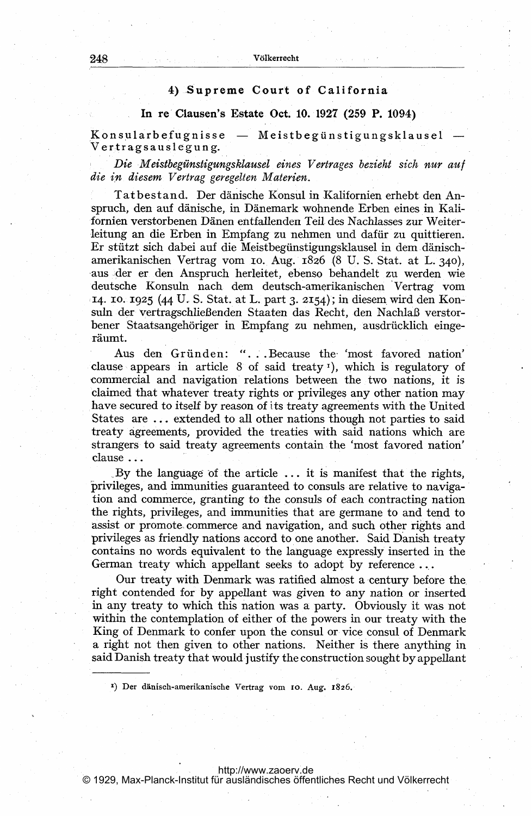## 4) Supreme Court of California

## In re'Clausen's Estate Oct. 10. 1927 (259 P. 1094)

.<br>Konsularbefugnisse — Meistbegünstigungsklausel Ver-tragsauslegung.

Die Meistbegünstigungsklausel eines Vertrages bezieht sich nur auf die in diesem Vertrag geregelten Materien.

Tatbestand. Der dänische Konsul in Kallfornien erhebt den Anspruch, den auf dänische, in Dänemark wohnende Erben eines in Kalifornien verstorbenen Dänen entfallenden Teil- des Nachlasses zur Weiterleitung an die Erben in Empfang zu nehmen und dafür zu quittieren. Er stützt sich dabei auf die Meistbegünstigungsklausel in dem dänischamerikanischen Vertrag vom io.. Aug. 1826 (8 U. S. Stat. at L- 340), aus,der er den Anspruch herleitet, ebenso behandelt zu werden wie deutsche Konsuln nach dem deutsch-amerikanischen 'Vertrag vom 14. 10. 1925 (44 U. S. Stat. at L. part 3. 2154); in diesem wird den Konsuln der vertragschlieBenden Staaten das Recht, den NachlaB verstorbener Staatsangehöriger in Empfang zu nehmen, ausdrücklich eingeräumt.

Aus den Gründen: "... Because the 'most favored nation' clause appears in article  $8$  of said treaty<sup>1</sup>), which is regulatory of commercial and navigation relations between the two nations, it is claimed that whatever treaty rights or privileges any other nation may have secured to itself by reason of its treaty agreements with the United States are ... extended to all other nations though not parties to said treaty agreements, provided the treaties with said nations which are strangers to said treaty agreements contain the 'most favored nation' clause

By the language of the article  $\ldots$  it is manifest that the rights, privileges, and immunities guaranteed to consuls are relative to navigation and commerce, granting to the consuls of each contracting nation the rights, privileges, and immunities that are germane to and tend to assist or promote commerce and navigation, and such other rights and privileges as friendly nations accord to. one another. Said Danish treaty contains no words equivalent to the language expressly inserted in the German treaty which appellant seeks to adopt by reference...

Our treaty with Denmark was ratified almost a century before the right contended for by appellant was given to any nation or inserted in any treaty to which this nation was a party. Obviously it was not within the contemplation of either of the powers in our treaty with the King of Denmark to confer upon the consul or vice consul of Denmark a right not then given to other nations. Neither is there anything in said Danish treaty that would justify the construction sought by appellant

1) Der dänisch-amerikanische Vertrag vom 10. Aug. 1826.

<http://www.zaoerv.de>

© 1929, Max-Planck-Institut für ausländisches öffentliches Recht und Völkerrecht